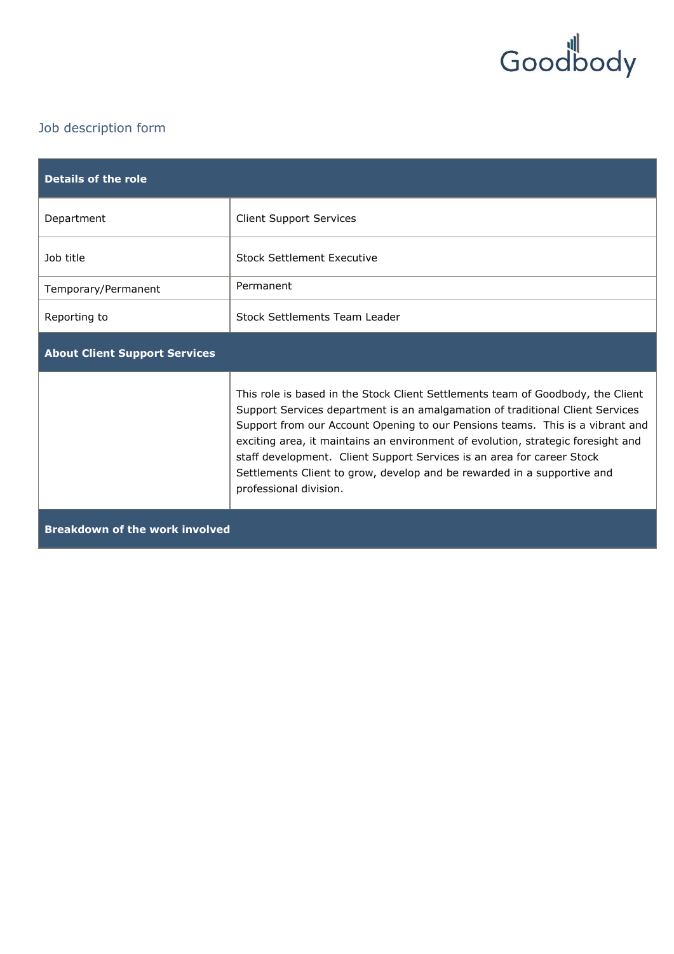

## Job description form

| <b>Details of the role</b>            |                                                                                                                                                                                                                                                                                                                                                                                                                                                                                                                      |
|---------------------------------------|----------------------------------------------------------------------------------------------------------------------------------------------------------------------------------------------------------------------------------------------------------------------------------------------------------------------------------------------------------------------------------------------------------------------------------------------------------------------------------------------------------------------|
| Department                            | <b>Client Support Services</b>                                                                                                                                                                                                                                                                                                                                                                                                                                                                                       |
| Job title                             | <b>Stock Settlement Executive</b>                                                                                                                                                                                                                                                                                                                                                                                                                                                                                    |
| Temporary/Permanent                   | Permanent                                                                                                                                                                                                                                                                                                                                                                                                                                                                                                            |
| Reporting to                          | Stock Settlements Team Leader                                                                                                                                                                                                                                                                                                                                                                                                                                                                                        |
| <b>About Client Support Services</b>  |                                                                                                                                                                                                                                                                                                                                                                                                                                                                                                                      |
|                                       | This role is based in the Stock Client Settlements team of Goodbody, the Client<br>Support Services department is an amalgamation of traditional Client Services<br>Support from our Account Opening to our Pensions teams. This is a vibrant and<br>exciting area, it maintains an environment of evolution, strategic foresight and<br>staff development. Client Support Services is an area for career Stock<br>Settlements Client to grow, develop and be rewarded in a supportive and<br>professional division. |
| <b>Breakdown of the work involved</b> |                                                                                                                                                                                                                                                                                                                                                                                                                                                                                                                      |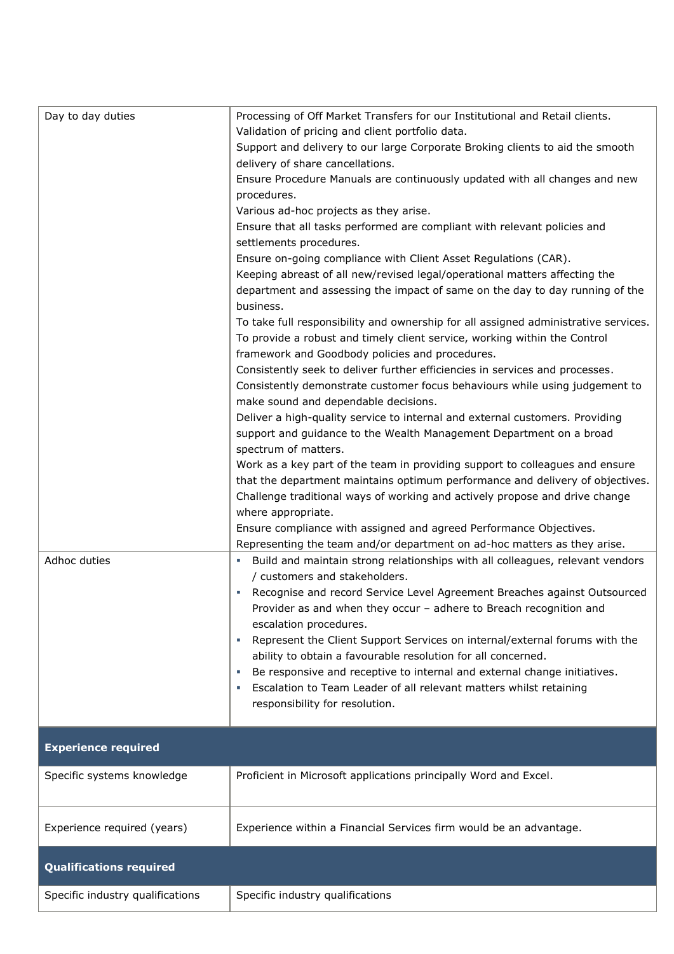| Day to day duties<br>Adhoc duties | Processing of Off Market Transfers for our Institutional and Retail clients.<br>Validation of pricing and client portfolio data.<br>Support and delivery to our large Corporate Broking clients to aid the smooth<br>delivery of share cancellations.<br>Ensure Procedure Manuals are continuously updated with all changes and new<br>procedures.<br>Various ad-hoc projects as they arise.<br>Ensure that all tasks performed are compliant with relevant policies and<br>settlements procedures.<br>Ensure on-going compliance with Client Asset Regulations (CAR).<br>Keeping abreast of all new/revised legal/operational matters affecting the<br>department and assessing the impact of same on the day to day running of the<br>business.<br>To take full responsibility and ownership for all assigned administrative services.<br>To provide a robust and timely client service, working within the Control<br>framework and Goodbody policies and procedures.<br>Consistently seek to deliver further efficiencies in services and processes.<br>Consistently demonstrate customer focus behaviours while using judgement to<br>make sound and dependable decisions.<br>Deliver a high-quality service to internal and external customers. Providing<br>support and guidance to the Wealth Management Department on a broad<br>spectrum of matters.<br>Work as a key part of the team in providing support to colleagues and ensure<br>that the department maintains optimum performance and delivery of objectives.<br>Challenge traditional ways of working and actively propose and drive change<br>where appropriate.<br>Ensure compliance with assigned and agreed Performance Objectives.<br>Representing the team and/or department on ad-hoc matters as they arise.<br>- Build and maintain strong relationships with all colleagues, relevant vendors<br>/ customers and stakeholders.<br>Recognise and record Service Level Agreement Breaches against Outsourced<br>Provider as and when they occur - adhere to Breach recognition and<br>escalation procedures.<br>Represent the Client Support Services on internal/external forums with the<br>T.<br>ability to obtain a favourable resolution for all concerned.<br>Be responsive and receptive to internal and external change initiatives.<br>Escalation to Team Leader of all relevant matters whilst retaining<br>responsibility for resolution. |
|-----------------------------------|--------------------------------------------------------------------------------------------------------------------------------------------------------------------------------------------------------------------------------------------------------------------------------------------------------------------------------------------------------------------------------------------------------------------------------------------------------------------------------------------------------------------------------------------------------------------------------------------------------------------------------------------------------------------------------------------------------------------------------------------------------------------------------------------------------------------------------------------------------------------------------------------------------------------------------------------------------------------------------------------------------------------------------------------------------------------------------------------------------------------------------------------------------------------------------------------------------------------------------------------------------------------------------------------------------------------------------------------------------------------------------------------------------------------------------------------------------------------------------------------------------------------------------------------------------------------------------------------------------------------------------------------------------------------------------------------------------------------------------------------------------------------------------------------------------------------------------------------------------------------------------------------------------------------------------------------------------------------------------------------------------------------------------------------------------------------------------------------------------------------------------------------------------------------------------------------------------------------------------------------------------------------------------------------------------------------------------------------------------------------------------------------------------------------------------|
| <b>Experience required</b>        |                                                                                                                                                                                                                                                                                                                                                                                                                                                                                                                                                                                                                                                                                                                                                                                                                                                                                                                                                                                                                                                                                                                                                                                                                                                                                                                                                                                                                                                                                                                                                                                                                                                                                                                                                                                                                                                                                                                                                                                                                                                                                                                                                                                                                                                                                                                                                                                                                                |
|                                   |                                                                                                                                                                                                                                                                                                                                                                                                                                                                                                                                                                                                                                                                                                                                                                                                                                                                                                                                                                                                                                                                                                                                                                                                                                                                                                                                                                                                                                                                                                                                                                                                                                                                                                                                                                                                                                                                                                                                                                                                                                                                                                                                                                                                                                                                                                                                                                                                                                |
| Specific systems knowledge        | Proficient in Microsoft applications principally Word and Excel.                                                                                                                                                                                                                                                                                                                                                                                                                                                                                                                                                                                                                                                                                                                                                                                                                                                                                                                                                                                                                                                                                                                                                                                                                                                                                                                                                                                                                                                                                                                                                                                                                                                                                                                                                                                                                                                                                                                                                                                                                                                                                                                                                                                                                                                                                                                                                               |
| Experience required (years)       | Experience within a Financial Services firm would be an advantage.                                                                                                                                                                                                                                                                                                                                                                                                                                                                                                                                                                                                                                                                                                                                                                                                                                                                                                                                                                                                                                                                                                                                                                                                                                                                                                                                                                                                                                                                                                                                                                                                                                                                                                                                                                                                                                                                                                                                                                                                                                                                                                                                                                                                                                                                                                                                                             |
| <b>Qualifications required</b>    |                                                                                                                                                                                                                                                                                                                                                                                                                                                                                                                                                                                                                                                                                                                                                                                                                                                                                                                                                                                                                                                                                                                                                                                                                                                                                                                                                                                                                                                                                                                                                                                                                                                                                                                                                                                                                                                                                                                                                                                                                                                                                                                                                                                                                                                                                                                                                                                                                                |
| Specific industry qualifications  | Specific industry qualifications                                                                                                                                                                                                                                                                                                                                                                                                                                                                                                                                                                                                                                                                                                                                                                                                                                                                                                                                                                                                                                                                                                                                                                                                                                                                                                                                                                                                                                                                                                                                                                                                                                                                                                                                                                                                                                                                                                                                                                                                                                                                                                                                                                                                                                                                                                                                                                                               |